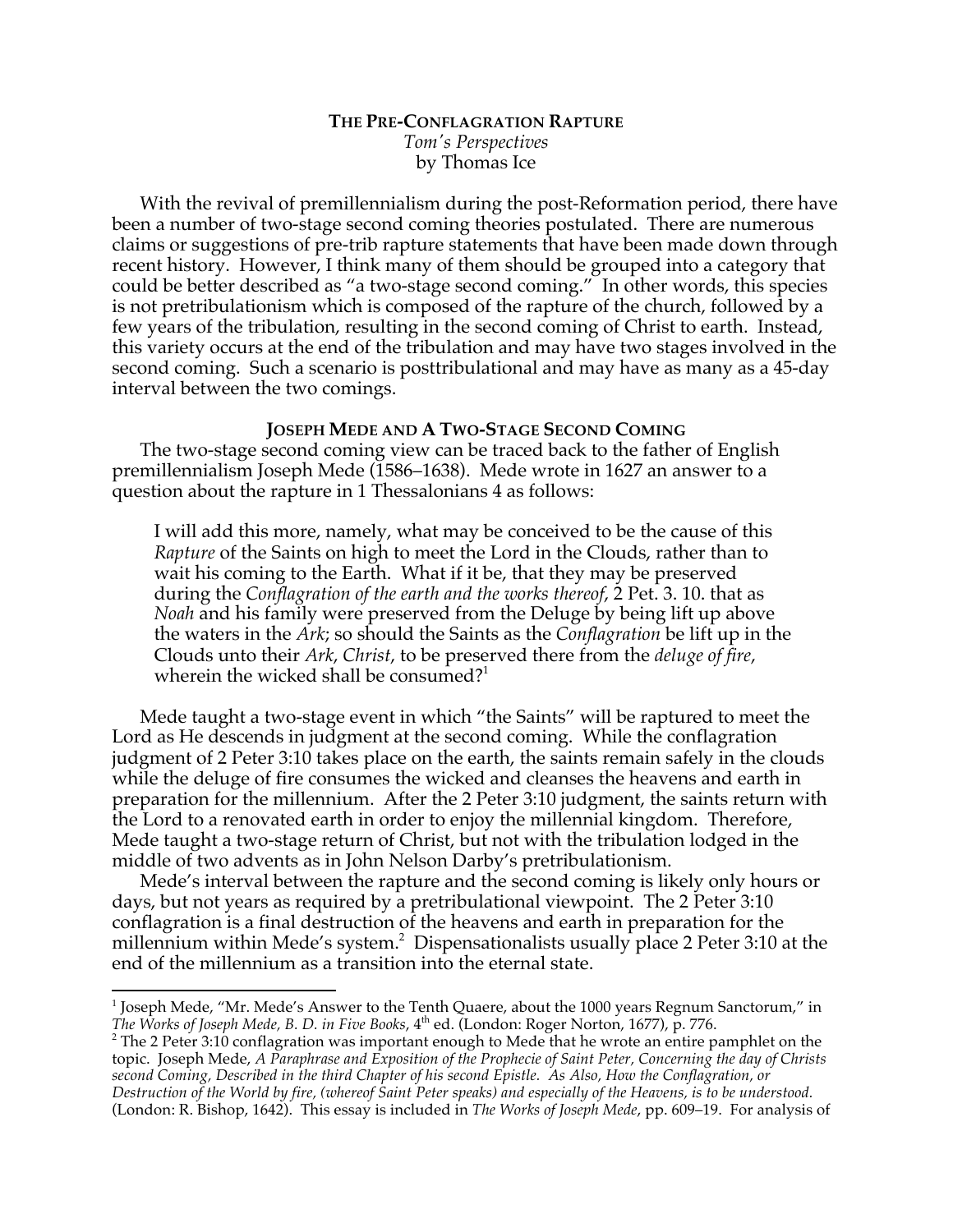# **THE PRE-CONFLAGRATION RAPTURE** *Tom's Perspectives* by Thomas Ice

With the revival of premillennialism during the post-Reformation period, there have been a number of two-stage second coming theories postulated. There are numerous claims or suggestions of pre-trib rapture statements that have been made down through recent history. However, I think many of them should be grouped into a category that could be better described as "a two-stage second coming." In other words, this species is not pretribulationism which is composed of the rapture of the church, followed by a few years of the tribulation, resulting in the second coming of Christ to earth. Instead, this variety occurs at the end of the tribulation and may have two stages involved in the second coming. Such a scenario is posttribulational and may have as many as a 45-day interval between the two comings.

# **JOSEPH MEDE AND A TWO-STAGE SECOND COMING**

The two-stage second coming view can be traced back to the father of English premillennialism Joseph Mede (1586–1638). Mede wrote in 1627 an answer to a question about the rapture in 1 Thessalonians 4 as follows:

I will add this more, namely, what may be conceived to be the cause of this *Rapture* of the Saints on high to meet the Lord in the Clouds, rather than to wait his coming to the Earth. What if it be, that they may be preserved during the *Conflagration of the earth and the works thereof*, 2 Pet. 3. 10. that as *Noah* and his family were preserved from the Deluge by being lift up above the waters in the *Ark*; so should the Saints as the *Conflagration* be lift up in the Clouds unto their *Ark*, *Christ*, to be preserved there from the *deluge of fire*, wherein the wicked shall be consumed? $1$ 

Mede taught a two-stage event in which "the Saints" will be raptured to meet the Lord as He descends in judgment at the second coming. While the conflagration judgment of 2 Peter 3:10 takes place on the earth, the saints remain safely in the clouds while the deluge of fire consumes the wicked and cleanses the heavens and earth in preparation for the millennium. After the 2 Peter 3:10 judgment, the saints return with the Lord to a renovated earth in order to enjoy the millennial kingdom. Therefore, Mede taught a two-stage return of Christ, but not with the tribulation lodged in the middle of two advents as in John Nelson Darby's pretribulationism.

Mede's interval between the rapture and the second coming is likely only hours or days, but not years as required by a pretribulational viewpoint. The 2 Peter 3:10 conflagration is a final destruction of the heavens and earth in preparation for the millennium within Mede's system.<sup>2</sup> Dispensationalists usually place 2 Peter 3:10 at the end of the millennium as a transition into the eternal state.

 <sup>1</sup> Joseph Mede, "Mr. Mede's Answer to the Tenth Quaere, about the 1000 years Regnum Sanctorum," in *The Works of Joseph Mede, B. D. in Five Books,* 4<sup>th</sup> ed. (London: Roger Norton, 1677), p. 776.<br><sup>2</sup> The 2 Peter 3:10 conflagration was important enough to Mede that he wrote an entire pamphlet on the

topic. Joseph Mede, *A Paraphrase and Exposition of the Prophecie of Saint Peter, Concerning the day of Christs second Coming, Described in the third Chapter of his second Epistle. As Also, How the Conflagration, or Destruction of the World by fire, (whereof Saint Peter speaks) and especially of the Heavens, is to be understood.*  (London: R. Bishop, 1642). This essay is included in *The Works of Joseph Mede*, pp. 609–19. For analysis of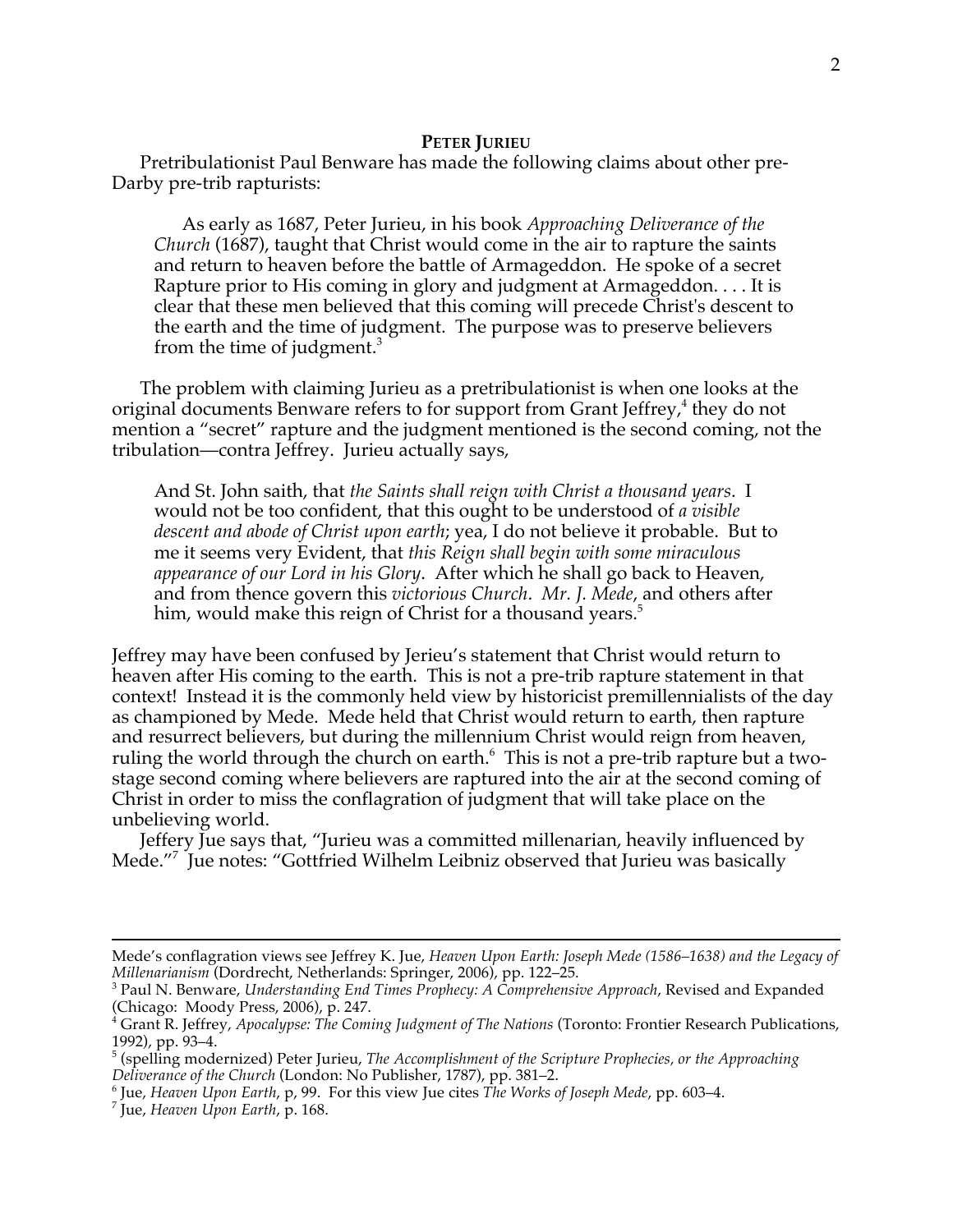## **PETER JURIEU**

Pretribulationist Paul Benware has made the following claims about other pre-Darby pre-trib rapturists:

As early as 1687, Peter Jurieu, in his book *Approaching Deliverance of the Church* (1687), taught that Christ would come in the air to rapture the saints and return to heaven before the battle of Armageddon. He spoke of a secret Rapture prior to His coming in glory and judgment at Armageddon. . . . It is clear that these men believed that this coming will precede Christ's descent to the earth and the time of judgment. The purpose was to preserve believers from the time of judgment. $3$ 

The problem with claiming Jurieu as a pretribulationist is when one looks at the original documents Benware refers to for support from Grant Jeffrey,<sup>4</sup> they do not mention a "secret" rapture and the judgment mentioned is the second coming, not the tribulation—contra Jeffrey. Jurieu actually says,

And St. John saith, that *the Saints shall reign with Christ a thousand years*. I would not be too confident, that this ought to be understood of *a visible descent and abode of Christ upon earth*; yea, I do not believe it probable. But to me it seems very Evident, that *this Reign shall begin with some miraculous appearance of our Lord in his Glory*. After which he shall go back to Heaven, and from thence govern this *victorious Church*. *Mr. J. Mede*, and others after him, would make this reign of Christ for a thousand years.<sup>5</sup>

Jeffrey may have been confused by Jerieu's statement that Christ would return to heaven after His coming to the earth. This is not a pre-trib rapture statement in that context! Instead it is the commonly held view by historicist premillennialists of the day as championed by Mede. Mede held that Christ would return to earth, then rapture and resurrect believers, but during the millennium Christ would reign from heaven, ruling the world through the church on earth. $^6\,$  This is not a pre-trib rapture but a twostage second coming where believers are raptured into the air at the second coming of Christ in order to miss the conflagration of judgment that will take place on the unbelieving world.

Jeffery Jue says that, "Jurieu was a committed millenarian, heavily influenced by Mede."7 Jue notes: "Gottfried Wilhelm Leibniz observed that Jurieu was basically

Mede's conflagration views see Jeffrey K. Jue, *Heaven Upon Earth: Joseph Mede (1586–1638) and the Legacy of* 

<sup>&</sup>lt;sup>3</sup> Paul N. Benware, *Understanding End Times Prophecy: A Comprehensive Approach*, Revised and Expanded (Chicago: Moody Press, 2006), p. 247.

<sup>4</sup> Grant R. Jeffrey, *Apocalypse: The Coming Judgment of The Nations* (Toronto: Frontier Research Publications,

<sup>1992),</sup> pp. 93–4.<br><sup>5</sup> (spelling modernized) Peter Jurieu, *The Accomplishment of the Scripture Prophecies, or the Approaching Deliverance of the Church (London: No Publisher, 1787), pp. 381–2.* 

<sup>&</sup>lt;sup>6</sup> Jue, *Heaven Upon Earth, p, 99. For this view Jue cites The Works of Joseph Mede, pp. 603–4. 7* Jue, *Heaven Upon Earth*, p. 168.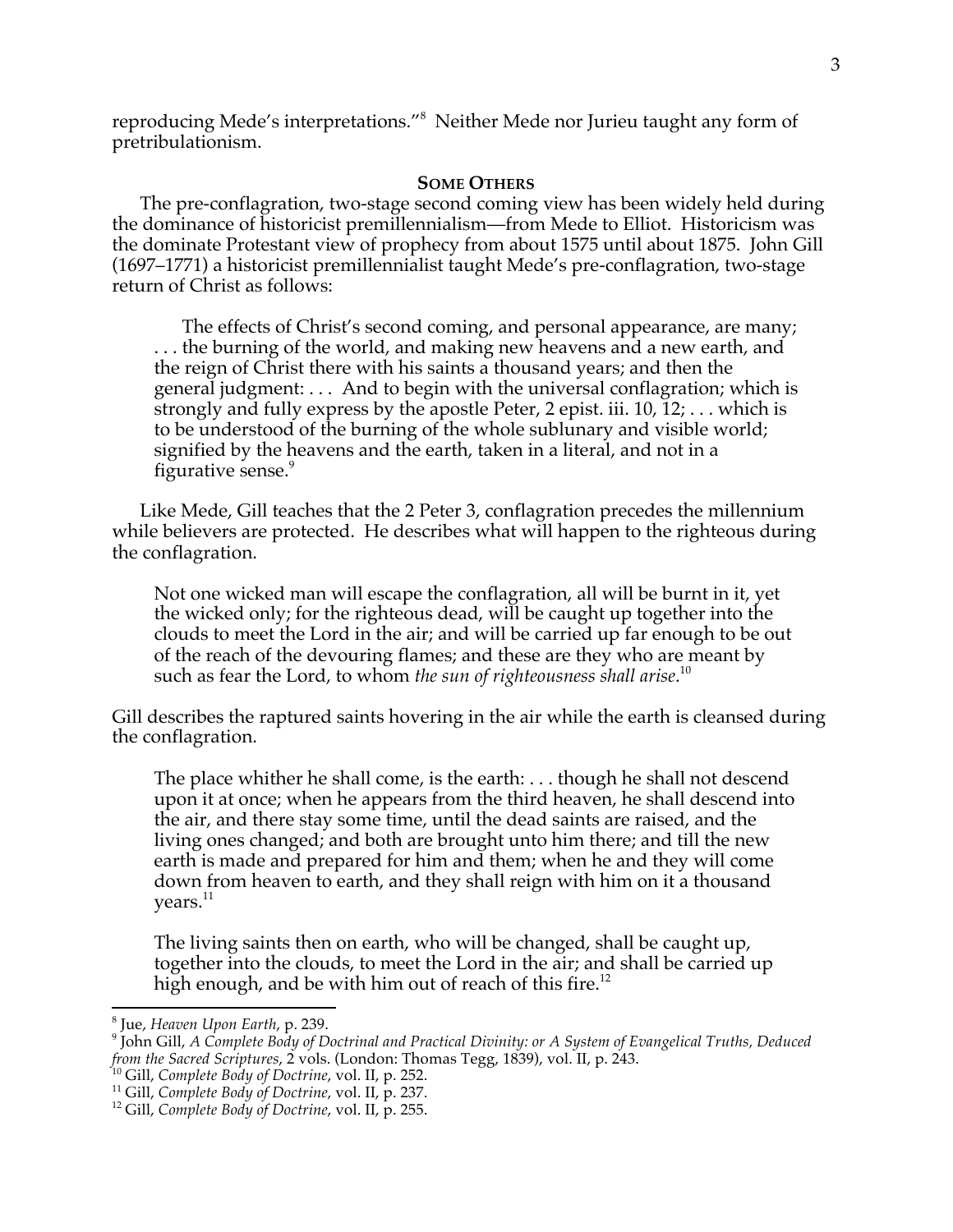reproducing Mede's interpretations."<sup>8</sup> Neither Mede nor Jurieu taught any form of pretribulationism.

### **SOME OTHERS**

The pre-conflagration, two-stage second coming view has been widely held during the dominance of historicist premillennialism—from Mede to Elliot. Historicism was the dominate Protestant view of prophecy from about 1575 until about 1875. John Gill (1697–1771) a historicist premillennialist taught Mede's pre-conflagration, two-stage return of Christ as follows:

The effects of Christ's second coming, and personal appearance, are many; . . . the burning of the world, and making new heavens and a new earth, and the reign of Christ there with his saints a thousand years; and then the general judgment: . . . And to begin with the universal conflagration; which is strongly and fully express by the apostle Peter, 2 epist. iii. 10, 12; . . . which is to be understood of the burning of the whole sublunary and visible world; signified by the heavens and the earth, taken in a literal, and not in a figurative sense.<sup>9</sup>

Like Mede, Gill teaches that the 2 Peter 3, conflagration precedes the millennium while believers are protected. He describes what will happen to the righteous during the conflagration.

Not one wicked man will escape the conflagration, all will be burnt in it, yet the wicked only; for the righteous dead, will be caught up together into the clouds to meet the Lord in the air; and will be carried up far enough to be out of the reach of the devouring flames; and these are they who are meant by such as fear the Lord, to whom *the sun of righteousness shall arise*. 10

Gill describes the raptured saints hovering in the air while the earth is cleansed during the conflagration.

The place whither he shall come, is the earth: . . . though he shall not descend upon it at once; when he appears from the third heaven, he shall descend into the air, and there stay some time, until the dead saints are raised, and the living ones changed; and both are brought unto him there; and till the new earth is made and prepared for him and them; when he and they will come down from heaven to earth, and they shall reign with him on it a thousand years. $^{\rm 11}$ 

The living saints then on earth, who will be changed, shall be caught up, together into the clouds, to meet the Lord in the air; and shall be carried up high enough, and be with him out of reach of this fire.<sup>12</sup>

<sup>&</sup>lt;sup>8</sup> Jue, *Heaven Upon Earth, p. 239.*<br><sup>9</sup> John Gill, *A Complete Body of Doctrinal and Practical Divinity: or A System of Evangelical Truths, Deduced* from the Sacred Scriptures, 2 vols. (London: Thomas Tegg, 1839), vol. II, p. 243.<br><sup>10</sup> Gill, *Complete Body of Doctrine*, vol. II, p. 252.<br><sup>11</sup> Gill, *Complete Body of Doctrine*, vol. II, p. 237.<br><sup>12</sup> Gill, *Complete Body*